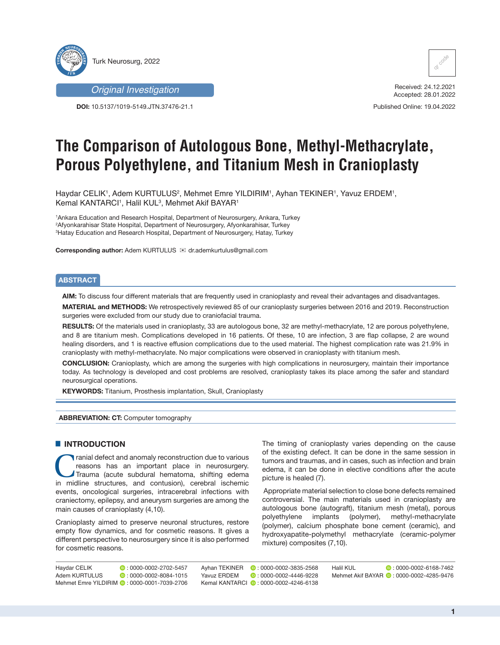



**DOI:** 10.5137/1019-5149.JTN.37476-21.1



Received: 24.12.2021 Accepted: 28.01.2022

Published Online: 19.04.2022

# **The Comparison of Autologous Bone, Methyl-Methacrylate, Porous Polyethylene, and Titanium Mesh in Cranioplasty**

Haydar CELIK', Adem KURTULUS<sup>2</sup>, Mehmet Emre YILDIRIM', Ayhan TEKINER', Yavuz ERDEM', Kemal KANTARCI1, Halil KUL<sup>3</sup>, Mehmet Akif BAYAR1

1 Ankara Education and Research Hospital, Department of Neurosurgery, Ankara, Turkey 2 Afyonkarahisar State Hospital, Department of Neurosurgery, Afyonkarahisar, Turkey 3 Hatay Education and Research Hospital, Department of Neurosurgery, Hatay, Turkey

**Corresponding author:** Adem KURTULUS <sup>⊠</sup> dr.ademkurtulus@gmail.com

# **ABSTRACT**

**AIM:** To discuss four different materials that are frequently used in cranioplasty and reveal their advantages and disadvantages.

**MATERIAL and METHODS:** We retrospectively reviewed 85 of our cranioplasty surgeries between 2016 and 2019. Reconstruction surgeries were excluded from our study due to craniofacial trauma.

**RESULTS:** Of the materials used in cranioplasty, 33 are autologous bone, 32 are methyl-methacrylate, 12 are porous polyethylene, and 8 are titanium mesh. Complications developed in 16 patients. Of these, 10 are infection, 3 are flap collapse, 2 are wound healing disorders, and 1 is reactive effusion complications due to the used material. The highest complication rate was 21.9% in cranioplasty with methyl-methacrylate. No major complications were observed in cranioplasty with titanium mesh.

**CONCLUSION:** Cranioplasty, which are among the surgeries with high complications in neurosurgery, maintain their importance today. As technology is developed and cost problems are resolved, cranioplasty takes its place among the safer and standard neurosurgical operations.

**KEYWORDS:** Titanium, Prosthesis implantation, Skull, Cranioplasty

### **ABBREVIATION: CT:** Computer tomography

## $\blacksquare$  **INTRODUCTION**

Tranial defect and anomaly reconstruction due to various<br>reasons has an important place in neurosurgery.<br>Trauma (acute subdural hematoma, shifting edema<br>in midline structures, and contusion) cerebral isobemic reasons has an important place in neurosurgery. Trauma (acute subdural hematoma, shifting edema in midline structures, and contusion), cerebral ischemic events, oncological surgeries, intracerebral infections with craniectomy, epilepsy, and aneurysm surgeries are among the main causes of cranioplasty (4,10).

Cranioplasty aimed to preserve neuronal structures, restore empty flow dynamics, and for cosmetic reasons. It gives a different perspective to neurosurgery since it is also performed for cosmetic reasons.

The timing of cranioplasty varies depending on the cause of the existing defect. It can be done in the same session in tumors and traumas, and in cases, such as infection and brain edema, it can be done in elective conditions after the acute picture is healed (7).

 Appropriate material selection to close bone defects remained controversial. The main materials used in cranioplasty are autologous bone (autograft), titanium mesh (metal), porous polyethylene implants (polymer), methyl-methacrylate (polymer), calcium phosphate bone cement (ceramic), and hydroxyapatite-polymethyl methacrylate (ceramic-polymer mixture) composites (7,10).

| Haydar CELIK  | $\n  0$ : 0000-0002-2702-5457                |             | Ayhan TEKINER <b>D</b> : 0000-0002-3835-2568 | <b>Halil KUL</b> | $D: 0000 - 0002 - 6168 - 7462$            |
|---------------|----------------------------------------------|-------------|----------------------------------------------|------------------|-------------------------------------------|
| Adem KURTULUS | $\bullet$ : 0000-0002-8084-1015              | Yavuz ERDEM | $\bullet$ : 0000-0002-4446-9228              |                  | Mehmet Akif BAYAR (D: 0000-0002-4285-9476 |
|               | Mehmet Emre YILDIRIM (D: 0000-0001-7039-2706 |             | Kemal KANTARCL D : 0000-0002-4246-6138       |                  |                                           |

**1**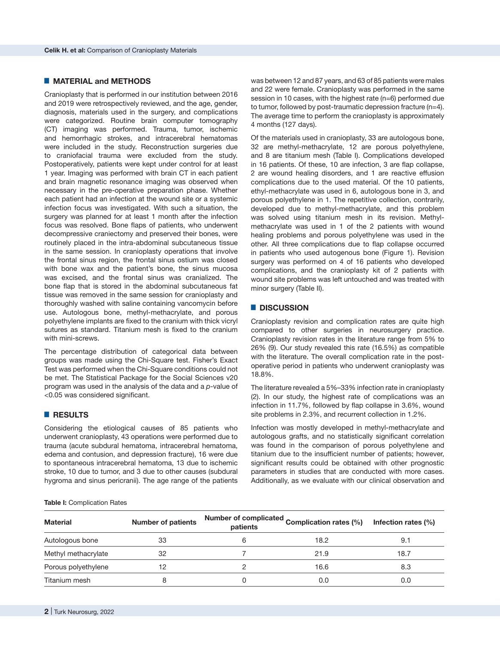# █ **MATERIAL and METHODS**

Cranioplasty that is performed in our institution between 2016 and 2019 were retrospectively reviewed, and the age, gender, diagnosis, materials used in the surgery, and complications were categorized. Routine brain computer tomography (CT) imaging was performed. Trauma, tumor, ischemic and hemorrhagic strokes, and intracerebral hematomas were included in the study. Reconstruction surgeries due to craniofacial trauma were excluded from the study. Postoperatively, patients were kept under control for at least 1 year. Imaging was performed with brain CT in each patient and brain magnetic resonance imaging was observed when necessary in the pre-operative preparation phase. Whether each patient had an infection at the wound site or a systemic infection focus was investigated. With such a situation, the surgery was planned for at least 1 month after the infection focus was resolved. Bone flaps of patients, who underwent decompressive craniectomy and preserved their bones, were routinely placed in the intra-abdominal subcutaneous tissue in the same session. In cranioplasty operations that involve the frontal sinus region, the frontal sinus ostium was closed with bone wax and the patient's bone, the sinus mucosa was excised, and the frontal sinus was cranialized. The bone flap that is stored in the abdominal subcutaneous fat tissue was removed in the same session for cranioplasty and thoroughly washed with saline containing vancomycin before use. Autologous bone, methyl-methacrylate, and porous polyethylene implants are fixed to the cranium with thick vicryl sutures as standard. Titanium mesh is fixed to the cranium with mini-screws.

The percentage distribution of categorical data between groups was made using the Chi-Square test. Fisher's Exact Test was performed when the Chi-Square conditions could not be met. The Statistical Package for the Social Sciences v20 program was used in the analysis of the data and a *p*-value of <0.05 was considered significant.

# █ **RESULTS**

Considering the etiological causes of 85 patients who underwent cranioplasty, 43 operations were performed due to trauma (acute subdural hematoma, intracerebral hematoma, edema and contusion, and depression fracture), 16 were due to spontaneous intracerebral hematoma, 13 due to ischemic stroke, 10 due to tumor, and 3 due to other causes (subdural hygroma and sinus pericranii). The age range of the patients

was between 12 and 87 years, and 63 of 85 patients were males and 22 were female. Cranioplasty was performed in the same session in 10 cases, with the highest rate (n=6) performed due to tumor, followed by post-traumatic depression fracture (n=4). The average time to perform the cranioplasty is approximately 4 months (127 days).

Of the materials used in cranioplasty, 33 are autologous bone, 32 are methyl-methacrylate, 12 are porous polyethylene, and 8 are titanium mesh (Table I). Complications developed in 16 patients. Of these, 10 are infection, 3 are flap collapse, 2 are wound healing disorders, and 1 are reactive effusion complications due to the used material. Of the 10 patients, ethyl-methacrylate was used in 6, autologous bone in 3, and porous polyethylene in 1. The repetitive collection, contrarily, developed due to methyl-methacrylate, and this problem was solved using titanium mesh in its revision. Methylmethacrylate was used in 1 of the 2 patients with wound healing problems and porous polyethylene was used in the other. All three complications due to flap collapse occurred in patients who used autogenous bone (Figure 1). Revision surgery was performed on 4 of 16 patients who developed complications, and the cranioplasty kit of 2 patients with wound site problems was left untouched and was treated with minor surgery (Table II).

## █ **DISCUSSION**

Cranioplasty revision and complication rates are quite high compared to other surgeries in neurosurgery practice. Cranioplasty revision rates in the literature range from 5% to 26% (9). Our study revealed this rate (16.5%) as compatible with the literature. The overall complication rate in the postoperative period in patients who underwent cranioplasty was 18.8%.

The literature revealed a 5%–33% infection rate in cranioplasty (2). In our study, the highest rate of complications was an infection in 11.7%, followed by flap collapse in 3.6%, wound site problems in 2.3%, and recurrent collection in 1.2%.

Infection was mostly developed in methyl-methacrylate and autologous grafts, and no statistically significant correlation was found in the comparison of porous polyethylene and titanium due to the insufficient number of patients; however, significant results could be obtained with other prognostic parameters in studies that are conducted with more cases. Additionally, as we evaluate with our clinical observation and

#### **Table I:** Complication Rates

| <b>Material</b>     | <b>Number of patients</b> | patients | Number of complicated Complication rates (%) | Infection rates (%) |
|---------------------|---------------------------|----------|----------------------------------------------|---------------------|
| Autologous bone     | 33                        |          | 18.2                                         | 9.1                 |
| Methyl methacrylate | 32                        |          | 21.9                                         | 18.7                |
| Porous polyethylene | 12                        |          | 16.6                                         | 8.3                 |
| Titanium mesh       | 8                         |          | 0.0                                          | 0.0                 |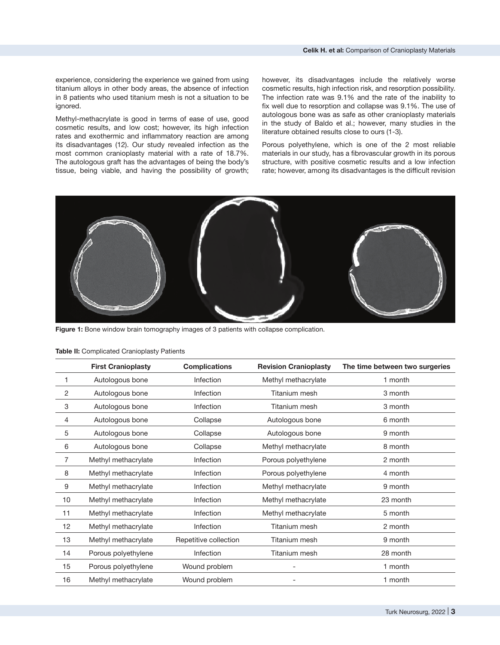experience, considering the experience we gained from using titanium alloys in other body areas, the absence of infection in 8 patients who used titanium mesh is not a situation to be ignored.

Methyl-methacrylate is good in terms of ease of use, good cosmetic results, and low cost; however, its high infection rates and exothermic and inflammatory reaction are among its disadvantages (12). Our study revealed infection as the most common cranioplasty material with a rate of 18.7%. The autologous graft has the advantages of being the body's tissue, being viable, and having the possibility of growth; however, its disadvantages include the relatively worse cosmetic results, high infection risk, and resorption possibility. The infection rate was 9.1% and the rate of the inability to fix well due to resorption and collapse was 9.1%. The use of autologous bone was as safe as other cranioplasty materials in the study of Baldo et al.; however, many studies in the literature obtained results close to ours (1-3).

Porous polyethylene, which is one of the 2 most reliable materials in our study, has a fibrovascular growth in its porous structure, with positive cosmetic results and a low infection rate; however, among its disadvantages is the difficult revision



Figure 1: Bone window brain tomography images of 3 patients with collapse complication.

|    | <b>First Cranioplasty</b> | <b>Complications</b>  | <b>Revision Cranioplasty</b> | The time between two surgeries |
|----|---------------------------|-----------------------|------------------------------|--------------------------------|
|    | Autologous bone           | Infection             | Methyl methacrylate          | 1 month                        |
| 2  | Autologous bone           | Infection             | Titanium mesh                | 3 month                        |
| 3  | Autologous bone           | Infection             | Titanium mesh                | 3 month                        |
| 4  | Autologous bone           | Collapse              | Autologous bone              | 6 month                        |
| 5  | Autologous bone           | Collapse              | Autologous bone              | 9 month                        |
| 6  | Autologous bone           | Collapse              | Methyl methacrylate          | 8 month                        |
| 7  | Methyl methacrylate       | Infection             | Porous polyethylene          | 2 month                        |
| 8  | Methyl methacrylate       | Infection             | Porous polyethylene          | 4 month                        |
| 9  | Methyl methacrylate       | Infection             | Methyl methacrylate          | 9 month                        |
| 10 | Methyl methacrylate       | Infection             | Methyl methacrylate          | 23 month                       |
| 11 | Methyl methacrylate       | Infection             | Methyl methacrylate          | 5 month                        |
| 12 | Methyl methacrylate       | Infection             | Titanium mesh                | 2 month                        |
| 13 | Methyl methacrylate       | Repetitive collection | Titanium mesh                | 9 month                        |
| 14 | Porous polyethylene       | Infection             | Titanium mesh                | 28 month                       |
| 15 | Porous polyethylene       | Wound problem         |                              | 1 month                        |
| 16 | Methyl methacrylate       | Wound problem         |                              | 1 month                        |

## **Table II:** Complicated Cranioplasty Patients